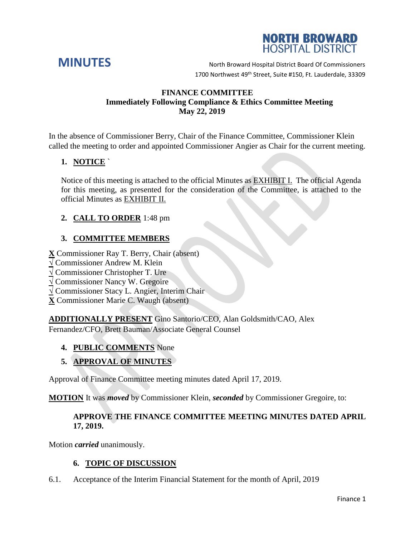



**MINUTES** North Broward Hospital District Board Of Commissioners 1700 Northwest 49<sup>th</sup> Street, Suite #150, Ft. Lauderdale, 33309

#### **FINANCE COMMITTEE Immediately Following Compliance & Ethics Committee Meeting May 22, 2019**

In the absence of Commissioner Berry, Chair of the Finance Committee, Commissioner Klein called the meeting to order and appointed Commissioner Angier as Chair for the current meeting.

# **1. NOTICE** `

Notice of this meeting is attached to the official Minutes as EXHIBIT I. The official Agenda for this meeting, as presented for the consideration of the Committee, is attached to the official Minutes as EXHIBIT II.

# **2. CALL TO ORDER** 1:48 pm

# **3. COMMITTEE MEMBERS**

**X** Commissioner Ray T. Berry, Chair (absent)

- **√** Commissioner Andrew M. Klein
- **√** Commissioner Christopher T. Ure
- **√** Commissioner Nancy W. Gregoire
- **√** Commissioner Stacy L. Angier, Interim Chair
- **X** Commissioner Marie C. Waugh (absent)

**ADDITIONALLY PRESENT** Gino Santorio/CEO, Alan Goldsmith/CAO, Alex Fernandez/CFO, Brett Bauman/Associate General Counsel

#### **4. PUBLIC COMMENTS** None

# **5. APPROVAL OF MINUTES**

Approval of Finance Committee meeting minutes dated April 17, 2019.

**MOTION** It was *moved* by Commissioner Klein, *seconded* by Commissioner Gregoire, to:

### **APPROVE THE FINANCE COMMITTEE MEETING MINUTES DATED APRIL 17, 2019.**

Motion *carried* unanimously.

#### **6. TOPIC OF DISCUSSION**

6.1. Acceptance of the Interim Financial Statement for the month of April, 2019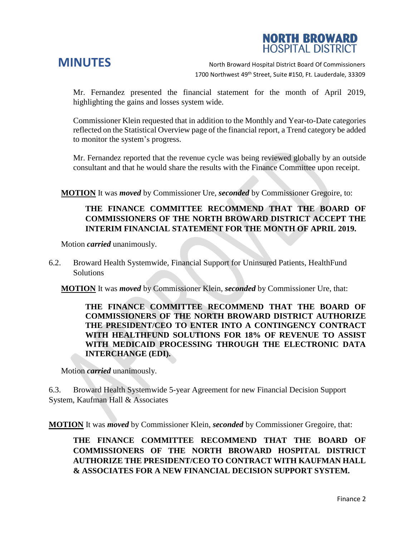# **NORTH BROWARD HOSPITAL DISTRICT**

**MINUTES** North Broward Hospital District Board Of Commissioners 1700 Northwest 49<sup>th</sup> Street, Suite #150, Ft. Lauderdale, 33309

Mr. Fernandez presented the financial statement for the month of April 2019, highlighting the gains and losses system wide.

Commissioner Klein requested that in addition to the Monthly and Year-to-Date categories reflected on the Statistical Overview page of the financial report, a Trend category be added to monitor the system's progress.

Mr. Fernandez reported that the revenue cycle was being reviewed globally by an outside consultant and that he would share the results with the Finance Committee upon receipt.

**MOTION** It was *moved* by Commissioner Ure, *seconded* by Commissioner Gregoire, to:

### **THE FINANCE COMMITTEE RECOMMEND THAT THE BOARD OF COMMISSIONERS OF THE NORTH BROWARD DISTRICT ACCEPT THE INTERIM FINANCIAL STATEMENT FOR THE MONTH OF APRIL 2019.**

Motion *carried* unanimously.

6.2. Broward Health Systemwide, Financial Support for Uninsured Patients, HealthFund Solutions

**MOTION** It was *moved* by Commissioner Klein, *seconded* by Commissioner Ure, that:

**THE FINANCE COMMITTEE RECOMMEND THAT THE BOARD OF COMMISSIONERS OF THE NORTH BROWARD DISTRICT AUTHORIZE THE PRESIDENT/CEO TO ENTER INTO A CONTINGENCY CONTRACT WITH HEALTHFUND SOLUTIONS FOR 18% OF REVENUE TO ASSIST WITH MEDICAID PROCESSING THROUGH THE ELECTRONIC DATA INTERCHANGE (EDI).**

Motion *carried* unanimously.

6.3. Broward Health Systemwide 5-year Agreement for new Financial Decision Support System, Kaufman Hall & Associates

**MOTION** It was *moved* by Commissioner Klein, *seconded* by Commissioner Gregoire, that:

**THE FINANCE COMMITTEE RECOMMEND THAT THE BOARD OF COMMISSIONERS OF THE NORTH BROWARD HOSPITAL DISTRICT AUTHORIZE THE PRESIDENT/CEO TO CONTRACT WITH KAUFMAN HALL & ASSOCIATES FOR A NEW FINANCIAL DECISION SUPPORT SYSTEM.**